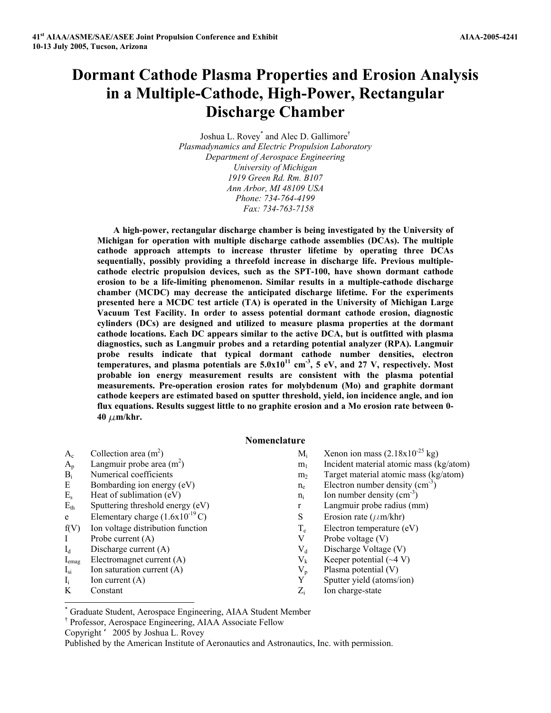# **Dormant Cathode Plasma Properties and Erosion Analysis in a Multiple-Cathode, High-Power, Rectangular Discharge Chamber**

Joshua L. Rovey\* and Alec D. Gallimore† *Plasmadynamics and Electric Propulsion Laboratory Department of Aerospace Engineering University of Michigan 1919 Green Rd. Rm. B107 Ann Arbor, MI 48109 USA Phone: 734-764-4199 Fax: 734-763-7158* 

**A high-power, rectangular discharge chamber is being investigated by the University of Michigan for operation with multiple discharge cathode assemblies (DCAs). The multiple cathode approach attempts to increase thruster lifetime by operating three DCAs sequentially, possibly providing a threefold increase in discharge life. Previous multiplecathode electric propulsion devices, such as the SPT-100, have shown dormant cathode erosion to be a life-limiting phenomenon. Similar results in a multiple-cathode discharge chamber (MCDC) may decrease the anticipated discharge lifetime. For the experiments presented here a MCDC test article (TA) is operated in the University of Michigan Large Vacuum Test Facility. In order to assess potential dormant cathode erosion, diagnostic cylinders (DCs) are designed and utilized to measure plasma properties at the dormant cathode locations. Each DC appears similar to the active DCA, but is outfitted with plasma diagnostics, such as Langmuir probes and a retarding potential analyzer (RPA). Langmuir probe results indicate that typical dormant cathode number densities, electron temperatures, and plasma potentials are 5.0x1011 cm-3, 5 eV, and 27 V, respectively. Most probable ion energy measurement results are consistent with the plasma potential measurements. Pre-operation erosion rates for molybdenum (Mo) and graphite dormant cathode keepers are estimated based on sputter threshold, yield, ion incidence angle, and ion flux equations. Results suggest little to no graphite erosion and a Mo erosion rate between 0-**  $40 \mu m/k$ hr.

# **Nomenclature**

 $A_c$  Collection area  $(m^2)$  $M<sub>i</sub>$  Xenon ion mass (2.18x10<sup>-25</sup> kg)  $A_p$  Langmuir probe area  $(m^2)$ <br>B<sub>i</sub> Numerical coefficients  $m_1$  Incident material atomic mass (kg/atom)  $B_i$  Numerical coefficients m<sub>2</sub> Target material atomic mass (kg/atom) E Bombarding ion energy (eV)  $n_e$  Electron number density (cm<sup>-3</sup>)<br>  $E_s$  Heat of sublimation (eV)  $n_i$  Ion number density (cm<sup>-3</sup>)  $E_s$  Heat of sublimation (eV) n<sub>i</sub>  $E_{th}$  Sputtering threshold energy  $(eV)$  r Langmuir probe radius (mm) e Elementary charge  $(1.6x10^{-19} \text{C})$  S Erosion rate ( $\mu$ m/khr) f(V) Ion voltage distribution function  $T_e$  Electron temperature (eV) I Probe current (A) V Probe voltage (V) I Probe current (A)  $V$  Probe voltage (V)  $I_d$  Discharge current (A)  $V_d$  Discharge Voltage (V)<br>  $I_{emag}$  Electromagnet current (A)  $V_k$  Keeper potential (~4 V)  $I_{emag}$  Electromagnet current  $(A)$   $V_k$  $I_{si}$  Ion saturation current (A)  $V_p$  Plasma potential (V)  $I_i$  Ion current (A)  $\begin{array}{ccc} Y & \text{Sputter yield (atoms/ion)} \\ K & \text{Constant} \end{array}$  $\sum_i$  Ion charge-state -

<sup>\*</sup> Graduate Student, Aerospace Engineering, AIAA Student Member

<sup>†</sup> Professor, Aerospace Engineering, AIAA Associate Fellow

Copyright ' 2005 by Joshua L. Rovey

Published by the American Institute of Aeronautics and Astronautics, Inc. with permission.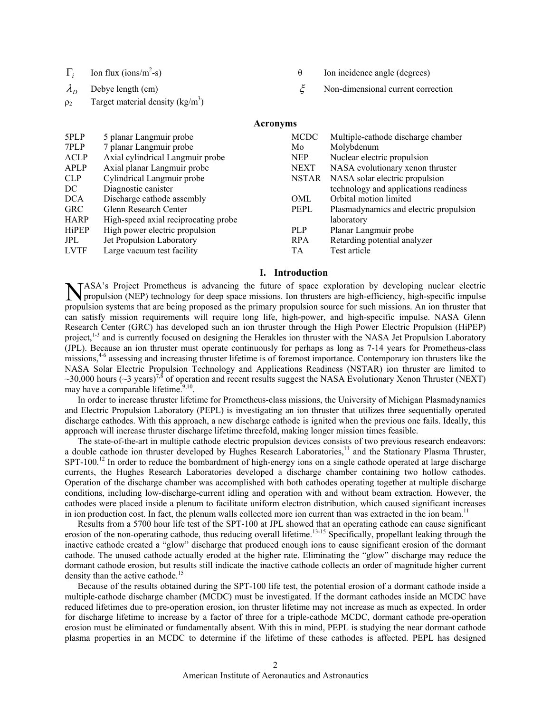$\Gamma_i$  Ion flux (ions/m<sup>2</sup>-s)

 $\rho_2$  Target material density (kg/m<sup>3</sup>)

- $\theta$  Ion incidence angle (degrees)
- $\lambda_D$  Debye length (cm)  $\zeta$  Non-dimensional current correction

## **Acronyms**

| 5PLP        | 5 planar Langmuir probe              | <b>MCDC</b>  | Multiple-cathode discharge chamber     |
|-------------|--------------------------------------|--------------|----------------------------------------|
| 7PLP        | 7 planar Langmuir probe              | Mo           | Molybdenum                             |
| <b>ACLP</b> | Axial cylindrical Langmuir probe     | <b>NEP</b>   | Nuclear electric propulsion            |
| APLP        | Axial planar Langmuir probe          | <b>NEXT</b>  | NASA evolutionary xenon thruster       |
| <b>CLP</b>  | Cylindrical Langmuir probe           | <b>NSTAR</b> | NASA solar electric propulsion         |
| DC          | Diagnostic canister                  |              | technology and applications readiness  |
| <b>DCA</b>  | Discharge cathode assembly           | OML          | Orbital motion limited                 |
| <b>GRC</b>  | Glenn Research Center                | PEPL         | Plasmadynamics and electric propulsion |
| <b>HARP</b> | High-speed axial reciprocating probe |              | laboratory                             |
| HiPEP       | High power electric propulsion       | <b>PLP</b>   | Planar Langmuir probe                  |
| JPL         | Jet Propulsion Laboratory            | <b>RPA</b>   | Retarding potential analyzer           |
| <b>LVTF</b> | Large vacuum test facility           | TА           | Test article                           |

# **I. Introduction**

ASA's Project Prometheus is advancing the future of space exploration by developing nuclear electric propulsion (NEP) technology for deep space missions. Ion thrusters are high-efficiency, high-specific impulse MASA's Project Prometheus is advancing the future of space exploration by developing nuclear electric propulsion (NEP) technology for deep space missions. Ion thrusters are high-efficiency, high-specific impulse propulsion can satisfy mission requirements will require long life, high-power, and high-specific impulse. NASA Glenn Research Center (GRC) has developed such an ion thruster through the High Power Electric Propulsion (HiPEP) project,<sup>1-3</sup> and is currently focused on designing the Herakles ion thruster with the NASA Jet Propulsion Laboratory (JPL). Because an ion thruster must operate continuously for perhaps as long as 7-14 years for Prometheus-class missions,4-6 assessing and increasing thruster lifetime is of foremost importance. Contemporary ion thrusters like the NASA Solar Electric Propulsion Technology and Applications Readiness (NSTAR) ion thruster are limited to ~30,000 hours (~3 years)<sup>7,8</sup> of operation and recent results suggest the NASA Evolutionary Xenon Thruster (NEXT) may have a comparable lifetime.<sup>9,10</sup>.

In order to increase thruster lifetime for Prometheus-class missions, the University of Michigan Plasmadynamics and Electric Propulsion Laboratory (PEPL) is investigating an ion thruster that utilizes three sequentially operated discharge cathodes. With this approach, a new discharge cathode is ignited when the previous one fails. Ideally, this approach will increase thruster discharge lifetime threefold, making longer mission times feasible.

The state-of-the-art in multiple cathode electric propulsion devices consists of two previous research endeavors: a double cathode ion thruster developed by Hughes Research Laboratories,<sup>11</sup> and the Stationary Plasma Thruster,  $SPT-100<sup>12</sup>$  In order to reduce the bombardment of high-energy ions on a single cathode operated at large discharge currents, the Hughes Research Laboratories developed a discharge chamber containing two hollow cathodes. Operation of the discharge chamber was accomplished with both cathodes operating together at multiple discharge conditions, including low-discharge-current idling and operation with and without beam extraction. However, the cathodes were placed inside a plenum to facilitate uniform electron distribution, which caused significant increases in ion production cost. In fact, the plenum walls collected more ion current than was extracted in the ion beam.<sup>11</sup>

Results from a 5700 hour life test of the SPT-100 at JPL showed that an operating cathode can cause significant erosion of the non-operating cathode, thus reducing overall lifetime.<sup>13-15</sup> Specifically, propellant leaking through the inactive cathode created a "glow" discharge that produced enough ions to cause significant erosion of the dormant cathode. The unused cathode actually eroded at the higher rate. Eliminating the "glow" discharge may reduce the dormant cathode erosion, but results still indicate the inactive cathode collects an order of magnitude higher current density than the active cathode.<sup>15</sup>

Because of the results obtained during the SPT-100 life test, the potential erosion of a dormant cathode inside a multiple-cathode discharge chamber (MCDC) must be investigated. If the dormant cathodes inside an MCDC have reduced lifetimes due to pre-operation erosion, ion thruster lifetime may not increase as much as expected. In order for discharge lifetime to increase by a factor of three for a triple-cathode MCDC, dormant cathode pre-operation erosion must be eliminated or fundamentally absent. With this in mind, PEPL is studying the near dormant cathode plasma properties in an MCDC to determine if the lifetime of these cathodes is affected. PEPL has designed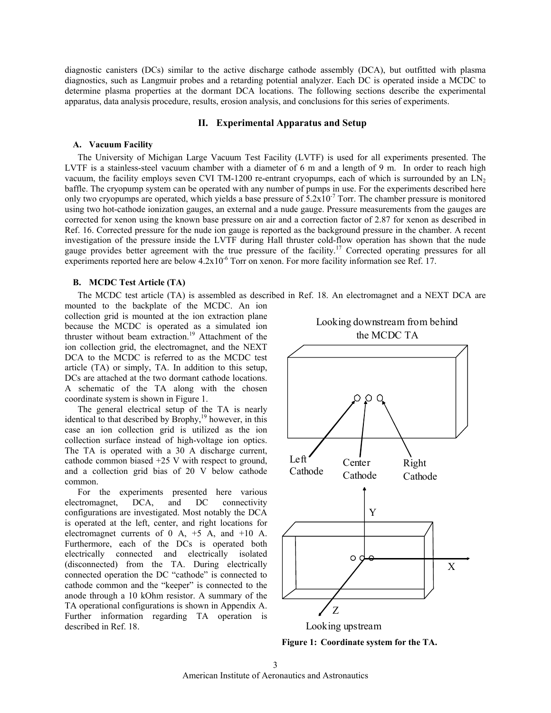diagnostic canisters (DCs) similar to the active discharge cathode assembly (DCA), but outfitted with plasma diagnostics, such as Langmuir probes and a retarding potential analyzer. Each DC is operated inside a MCDC to determine plasma properties at the dormant DCA locations. The following sections describe the experimental apparatus, data analysis procedure, results, erosion analysis, and conclusions for this series of experiments.

# **II. Experimental Apparatus and Setup**

#### **A. Vacuum Facility**

The University of Michigan Large Vacuum Test Facility (LVTF) is used for all experiments presented. The LVTF is a stainless-steel vacuum chamber with a diameter of 6 m and a length of 9 m. In order to reach high vacuum, the facility employs seven CVI TM-1200 re-entrant cryopumps, each of which is surrounded by an  $LN<sub>2</sub>$ baffle. The cryopump system can be operated with any number of pumps in use. For the experiments described here only two cryopumps are operated, which yields a base pressure of  $5.2x10^{-7}$  Torr. The chamber pressure is monitored using two hot-cathode ionization gauges, an external and a nude gauge. Pressure measurements from the gauges are corrected for xenon using the known base pressure on air and a correction factor of 2.87 for xenon as described in Ref. 16. Corrected pressure for the nude ion gauge is reported as the background pressure in the chamber. A recent investigation of the pressure inside the LVTF during Hall thruster cold-flow operation has shown that the nude gauge provides better agreement with the true pressure of the facility.17 Corrected operating pressures for all experiments reported here are below  $4.2x10^{-6}$  Torr on xenon. For more facility information see Ref. 17.

# **B. MCDC Test Article (TA)**

The MCDC test article (TA) is assembled as described in Ref. 18. An electromagnet and a NEXT DCA are

mounted to the backplate of the MCDC. An ion collection grid is mounted at the ion extraction plane because the MCDC is operated as a simulated ion thruster without beam extraction.<sup>19</sup> Attachment of the ion collection grid, the electromagnet, and the NEXT DCA to the MCDC is referred to as the MCDC test article (TA) or simply, TA. In addition to this setup, DCs are attached at the two dormant cathode locations. A schematic of the TA along with the chosen coordinate system is shown in Figure 1.

The general electrical setup of the TA is nearly identical to that described by  $Brophy<sub>19</sub><sup>19</sup>$  however, in this case an ion collection grid is utilized as the ion collection surface instead of high-voltage ion optics. The TA is operated with a 30 A discharge current, cathode common biased +25 V with respect to ground, and a collection grid bias of 20 V below cathode common.

For the experiments presented here various electromagnet, DCA, and DC connectivity configurations are investigated. Most notably the DCA is operated at the left, center, and right locations for electromagnet currents of  $0$  A,  $+5$  A, and  $+10$  A. Furthermore, each of the DCs is operated both electrically connected and electrically isolated (disconnected) from the TA. During electrically connected operation the DC "cathode" is connected to cathode common and the "keeper" is connected to the anode through a 10 kOhm resistor. A summary of the TA operational configurations is shown in Appendix A. Further information regarding TA operation is described in Ref. 18.





**Figure 1: Coordinate system for the TA.**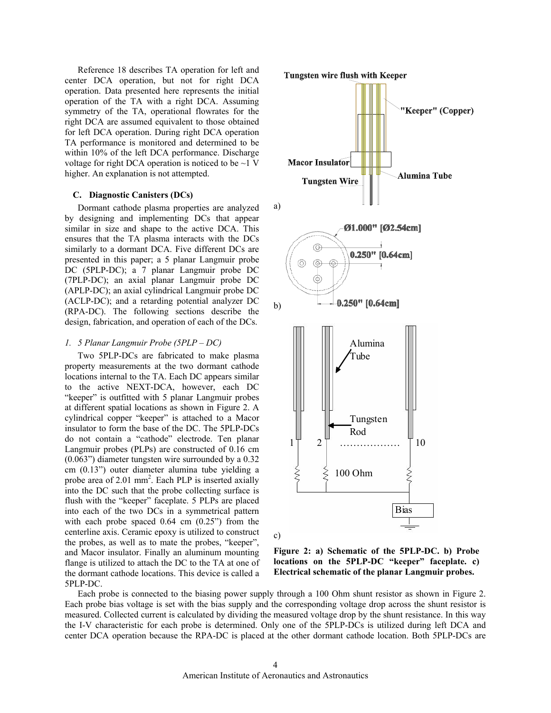Reference 18 describes TA operation for left and center DCA operation, but not for right DCA operation. Data presented here represents the initial operation of the TA with a right DCA. Assuming symmetry of the TA, operational flowrates for the right DCA are assumed equivalent to those obtained for left DCA operation. During right DCA operation TA performance is monitored and determined to be within 10% of the left DCA performance. Discharge voltage for right DCA operation is noticed to be  $\sim$ 1 V higher. An explanation is not attempted.

## **C. Diagnostic Canisters (DCs)**

Dormant cathode plasma properties are analyzed by designing and implementing DCs that appear similar in size and shape to the active DCA. This ensures that the TA plasma interacts with the DCs similarly to a dormant DCA. Five different DCs are presented in this paper; a 5 planar Langmuir probe DC (5PLP-DC); a 7 planar Langmuir probe DC (7PLP-DC); an axial planar Langmuir probe DC (APLP-DC); an axial cylindrical Langmuir probe DC (ACLP-DC); and a retarding potential analyzer DC (RPA-DC). The following sections describe the design, fabrication, and operation of each of the DCs.

# *1. 5 Planar Langmuir Probe (5PLP – DC)*

Two 5PLP-DCs are fabricated to make plasma property measurements at the two dormant cathode locations internal to the TA. Each DC appears similar to the active NEXT-DCA, however, each DC "keeper" is outfitted with 5 planar Langmuir probes at different spatial locations as shown in Figure 2. A cylindrical copper "keeper" is attached to a Macor insulator to form the base of the DC. The 5PLP-DCs do not contain a "cathode" electrode. Ten planar Langmuir probes (PLPs) are constructed of 0.16 cm (0.063") diameter tungsten wire surrounded by a 0.32 cm (0.13") outer diameter alumina tube yielding a probe area of  $2.01 \text{ mm}^2$ . Each PLP is inserted axially into the DC such that the probe collecting surface is flush with the "keeper" faceplate. 5 PLPs are placed into each of the two DCs in a symmetrical pattern with each probe spaced 0.64 cm (0.25") from the centerline axis. Ceramic epoxy is utilized to construct the probes, as well as to mate the probes, "keeper", and Macor insulator. Finally an aluminum mounting flange is utilized to attach the DC to the TA at one of the dormant cathode locations. This device is called a 5PLP-DC.



**Figure 2: a) Schematic of the 5PLP-DC. b) Probe locations on the 5PLP-DC "keeper" faceplate. c) Electrical schematic of the planar Langmuir probes.** 

Each probe is connected to the biasing power supply through a 100 Ohm shunt resistor as shown in Figure 2. Each probe bias voltage is set with the bias supply and the corresponding voltage drop across the shunt resistor is measured. Collected current is calculated by dividing the measured voltage drop by the shunt resistance. In this way the I-V characteristic for each probe is determined. Only one of the 5PLP-DCs is utilized during left DCA and center DCA operation because the RPA-DC is placed at the other dormant cathode location. Both 5PLP-DCs are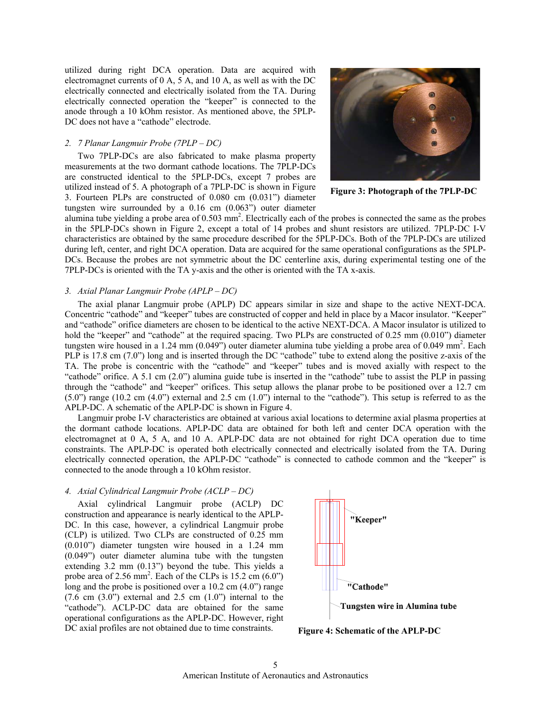utilized during right DCA operation. Data are acquired with electromagnet currents of 0 A, 5 A, and 10 A, as well as with the DC electrically connected and electrically isolated from the TA. During electrically connected operation the "keeper" is connected to the anode through a 10 kOhm resistor. As mentioned above, the 5PLP-DC does not have a "cathode" electrode.

## *2. 7 Planar Langmuir Probe (7PLP – DC)*

Two 7PLP-DCs are also fabricated to make plasma property measurements at the two dormant cathode locations. The 7PLP-DCs are constructed identical to the 5PLP-DCs, except 7 probes are utilized instead of 5. A photograph of a 7PLP-DC is shown in Figure 3. Fourteen PLPs are constructed of 0.080 cm (0.031") diameter tungsten wire surrounded by a 0.16 cm (0.063") outer diameter



**Figure 3: Photograph of the 7PLP-DC**

alumina tube yielding a probe area of  $0.503$  mm<sup>2</sup>. Electrically each of the probes is connected the same as the probes in the 5PLP-DCs shown in Figure 2, except a total of 14 probes and shunt resistors are utilized. 7PLP-DC I-V characteristics are obtained by the same procedure described for the 5PLP-DCs. Both of the 7PLP-DCs are utilized during left, center, and right DCA operation. Data are acquired for the same operational configurations as the 5PLP-DCs. Because the probes are not symmetric about the DC centerline axis, during experimental testing one of the 7PLP-DCs is oriented with the TA y-axis and the other is oriented with the TA x-axis.

# *3. Axial Planar Langmuir Probe (APLP – DC)*

The axial planar Langmuir probe (APLP) DC appears similar in size and shape to the active NEXT-DCA. Concentric "cathode" and "keeper" tubes are constructed of copper and held in place by a Macor insulator. "Keeper" and "cathode" orifice diameters are chosen to be identical to the active NEXT-DCA. A Macor insulator is utilized to hold the "keeper" and "cathode" at the required spacing. Two PLPs are constructed of 0.25 mm (0.010") diameter tungsten wire housed in a 1.24 mm  $(0.049)$  outer diameter alumina tube yielding a probe area of 0.049 mm<sup>2</sup>. Each PLP is 17.8 cm (7.0") long and is inserted through the DC "cathode" tube to extend along the positive z-axis of the TA. The probe is concentric with the "cathode" and "keeper" tubes and is moved axially with respect to the "cathode" orifice. A 5.1 cm (2.0") alumina guide tube is inserted in the "cathode" tube to assist the PLP in passing through the "cathode" and "keeper" orifices. This setup allows the planar probe to be positioned over a 12.7 cm  $(5.0)$ " range  $(10.2 \text{ cm } (4.0)$ " external and  $2.5 \text{ cm } (1.0)$ " internal to the "cathode"). This setup is referred to as the APLP-DC. A schematic of the APLP-DC is shown in Figure 4.

Langmuir probe I-V characteristics are obtained at various axial locations to determine axial plasma properties at the dormant cathode locations. APLP-DC data are obtained for both left and center DCA operation with the electromagnet at 0 A, 5 A, and 10 A. APLP-DC data are not obtained for right DCA operation due to time constraints. The APLP-DC is operated both electrically connected and electrically isolated from the TA. During electrically connected operation, the APLP-DC "cathode" is connected to cathode common and the "keeper" is connected to the anode through a 10 kOhm resistor.

#### *4. Axial Cylindrical Langmuir Probe (ACLP – DC)*

Axial cylindrical Langmuir probe (ACLP) DC construction and appearance is nearly identical to the APLP-DC. In this case, however, a cylindrical Langmuir probe (CLP) is utilized. Two CLPs are constructed of 0.25 mm (0.010") diameter tungsten wire housed in a 1.24 mm (0.049") outer diameter alumina tube with the tungsten extending 3.2 mm (0.13") beyond the tube. This yields a probe area of 2.56 mm<sup>2</sup>. Each of the CLPs is 15.2 cm  $(6.0)$ <sup>"</sup>) long and the probe is positioned over a 10.2 cm  $(4.0)$  range  $(7.6 \text{ cm } (3.0)')$  external and  $2.5 \text{ cm } (1.0)')$  internal to the "cathode"). ACLP-DC data are obtained for the same operational configurations as the APLP-DC. However, right DC axial profiles are not obtained due to time constraints.



**Figure 4: Schematic of the APLP-DC**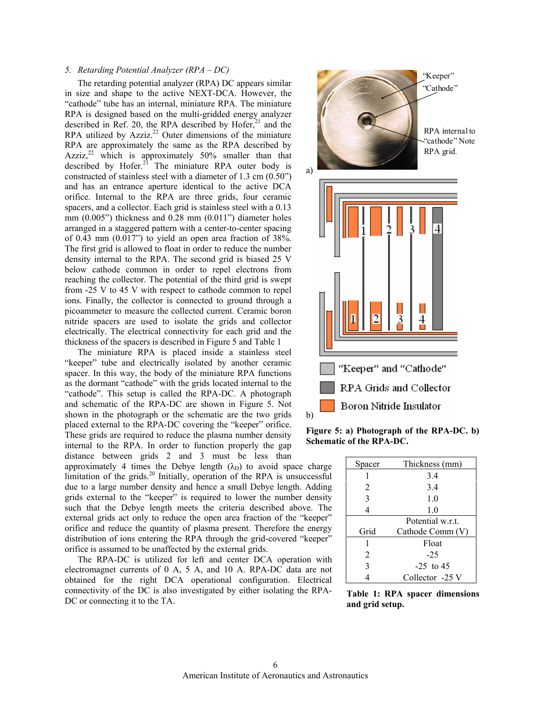## *5. Retarding Potential Analyzer (RPA – DC)*

The retarding potential analyzer (RPA) DC appears similar in size and shape to the active NEXT-DCA. However, the "cathode" tube has an internal, miniature RPA. The miniature RPA is designed based on the multi-gridded energy analyzer described in Ref. 20, the RPA described by Hofer, $21$  and the RPA utilized by  $Azziz$ <sup>22</sup> Outer dimensions of the miniature RPA are approximately the same as the RPA described by Azziz, $22$  which is approximately 50% smaller than that described by Hofer. $2^{1}$  The miniature RPA outer body is constructed of stainless steel with a diameter of 1.3 cm (0.50") and has an entrance aperture identical to the active DCA orifice. Internal to the RPA are three grids, four ceramic spacers, and a collector. Each grid is stainless steel with a 0.13 mm (0.005") thickness and 0.28 mm (0.011") diameter holes arranged in a staggered pattern with a center-to-center spacing of 0.43 mm (0.017") to yield an open area fraction of 38%. The first grid is allowed to float in order to reduce the number density internal to the RPA. The second grid is biased 25 V below cathode common in order to repel electrons from reaching the collector. The potential of the third grid is swept from -25 V to 45 V with respect to cathode common to repel ions. Finally, the collector is connected to ground through a picoammeter to measure the collected current. Ceramic boron nitride spacers are used to isolate the grids and collector electrically. The electrical connectivity for each grid and the thickness of the spacers is described in Figure 5 and Table 1

The miniature RPA is placed inside a stainless steel "keeper" tube and electrically isolated by another ceramic spacer. In this way, the body of the miniature RPA functions as the dormant "cathode" with the grids located internal to the "cathode". This setup is called the RPA-DC. A photograph and schematic of the RPA-DC are shown in Figure 5. Not shown in the photograph or the schematic are the two grids placed external to the RPA-DC covering the "keeper" orifice. These grids are required to reduce the plasma number density internal to the RPA. In order to function properly the gap distance between grids 2 and 3 must be less than approximately 4 times the Debye length  $(\lambda_D)$  to avoid space charge limitation of the grids. $20$  Initially, operation of the RPA is unsuccessful

due to a large number density and hence a small Debye length. Adding grids external to the "keeper" is required to lower the number density such that the Debye length meets the criteria described above. The external grids act only to reduce the open area fraction of the "keeper" orifice and reduce the quantity of plasma present. Therefore the energy distribution of ions entering the RPA through the grid-covered "keeper" orifice is assumed to be unaffected by the external grids.

The RPA-DC is utilized for left and center DCA operation with electromagnet currents of 0 A, 5 A, and 10 A. RPA-DC data are not obtained for the right DCA operational configuration. Electrical connectivity of the DC is also investigated by either isolating the RPA-DC or connecting it to the TA.



**Figure 5: a) Photograph of the RPA-DC. b) Schematic of the RPA-DC.** 

| Spacer         | Thickness (mm)   |  |  |
|----------------|------------------|--|--|
|                | 3.4              |  |  |
| 2              | 3.4              |  |  |
| 3              | 1.0              |  |  |
| $\overline{4}$ | 1.0              |  |  |
|                | Potential w.r.t. |  |  |
| Grid           | Cathode Comm (V) |  |  |
|                | Float            |  |  |
| 2              | $-25$            |  |  |
| 3              | $-25$ to 45      |  |  |
|                | Collector -25 V  |  |  |

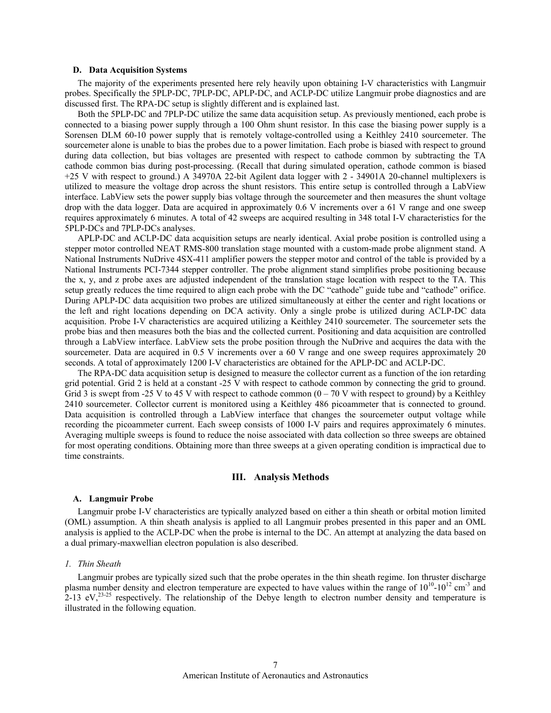#### **D. Data Acquisition Systems**

The majority of the experiments presented here rely heavily upon obtaining I-V characteristics with Langmuir probes. Specifically the 5PLP-DC, 7PLP-DC, APLP-DC, and ACLP-DC utilize Langmuir probe diagnostics and are discussed first. The RPA-DC setup is slightly different and is explained last.

Both the 5PLP-DC and 7PLP-DC utilize the same data acquisition setup. As previously mentioned, each probe is connected to a biasing power supply through a 100 Ohm shunt resistor. In this case the biasing power supply is a Sorensen DLM 60-10 power supply that is remotely voltage-controlled using a Keithley 2410 sourcemeter. The sourcemeter alone is unable to bias the probes due to a power limitation. Each probe is biased with respect to ground during data collection, but bias voltages are presented with respect to cathode common by subtracting the TA cathode common bias during post-processing. (Recall that during simulated operation, cathode common is biased +25 V with respect to ground.) A 34970A 22-bit Agilent data logger with 2 - 34901A 20-channel multiplexers is utilized to measure the voltage drop across the shunt resistors. This entire setup is controlled through a LabView interface. LabView sets the power supply bias voltage through the sourcemeter and then measures the shunt voltage drop with the data logger. Data are acquired in approximately 0.6 V increments over a 61 V range and one sweep requires approximately 6 minutes. A total of 42 sweeps are acquired resulting in 348 total I-V characteristics for the 5PLP-DCs and 7PLP-DCs analyses.

APLP-DC and ACLP-DC data acquisition setups are nearly identical. Axial probe position is controlled using a stepper motor controlled NEAT RMS-800 translation stage mounted with a custom-made probe alignment stand. A National Instruments NuDrive 4SX-411 amplifier powers the stepper motor and control of the table is provided by a National Instruments PCI-7344 stepper controller. The probe alignment stand simplifies probe positioning because the x, y, and z probe axes are adjusted independent of the translation stage location with respect to the TA. This setup greatly reduces the time required to align each probe with the DC "cathode" guide tube and "cathode" orifice. During APLP-DC data acquisition two probes are utilized simultaneously at either the center and right locations or the left and right locations depending on DCA activity. Only a single probe is utilized during ACLP-DC data acquisition. Probe I-V characteristics are acquired utilizing a Keithley 2410 sourcemeter. The sourcemeter sets the probe bias and then measures both the bias and the collected current. Positioning and data acquisition are controlled through a LabView interface. LabView sets the probe position through the NuDrive and acquires the data with the sourcemeter. Data are acquired in 0.5 V increments over a 60 V range and one sweep requires approximately 20 seconds. A total of approximately 1200 I-V characteristics are obtained for the APLP-DC and ACLP-DC.

The RPA-DC data acquisition setup is designed to measure the collector current as a function of the ion retarding grid potential. Grid 2 is held at a constant -25 V with respect to cathode common by connecting the grid to ground. Grid 3 is swept from -25 V to 45 V with respect to cathode common  $(0 - 70 V)$  with respect to ground) by a Keithley 2410 sourcemeter. Collector current is monitored using a Keithley 486 picoammeter that is connected to ground. Data acquisition is controlled through a LabView interface that changes the sourcemeter output voltage while recording the picoammeter current. Each sweep consists of 1000 I-V pairs and requires approximately 6 minutes. Averaging multiple sweeps is found to reduce the noise associated with data collection so three sweeps are obtained for most operating conditions. Obtaining more than three sweeps at a given operating condition is impractical due to time constraints.

#### **III. Analysis Methods**

#### **A. Langmuir Probe**

Langmuir probe I-V characteristics are typically analyzed based on either a thin sheath or orbital motion limited (OML) assumption. A thin sheath analysis is applied to all Langmuir probes presented in this paper and an OML analysis is applied to the ACLP-DC when the probe is internal to the DC. An attempt at analyzing the data based on a dual primary-maxwellian electron population is also described.

## *1. Thin Sheath*

Langmuir probes are typically sized such that the probe operates in the thin sheath regime. Ion thruster discharge plasma number density and electron temperature are expected to have values within the range of  $10^{10}$ - $10^{12}$  cm<sup>-3</sup> and 2-13 eV,<sup>23-25</sup> respectively. The relationship of the Debye length to electron number density and temperature is illustrated in the following equation.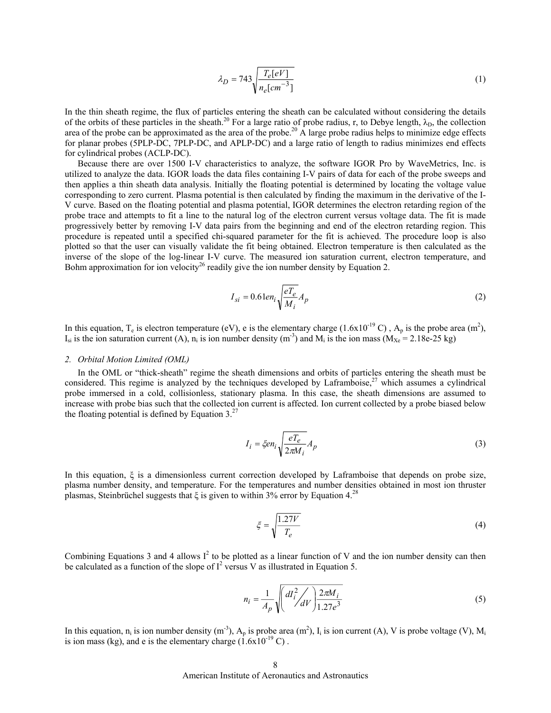$$
\lambda_D = 743 \sqrt{\frac{T_e[eV]}{n_e[cm^{-3}]}}
$$
 (1)

In the thin sheath regime, the flux of particles entering the sheath can be calculated without considering the details of the orbits of these particles in the sheath.<sup>20</sup> For a large ratio of probe radius, r, to Debye length,  $\lambda_{D}$ , the collection area of the probe can be approximated as the area of the probe.<sup>20</sup> A large probe radius helps to minimize edge effects for planar probes (5PLP-DC, 7PLP-DC, and APLP-DC) and a large ratio of length to radius minimizes end effects for cylindrical probes (ACLP-DC).

Because there are over 1500 I-V characteristics to analyze, the software IGOR Pro by WaveMetrics, Inc. is utilized to analyze the data. IGOR loads the data files containing I-V pairs of data for each of the probe sweeps and then applies a thin sheath data analysis. Initially the floating potential is determined by locating the voltage value corresponding to zero current. Plasma potential is then calculated by finding the maximum in the derivative of the I-V curve. Based on the floating potential and plasma potential, IGOR determines the electron retarding region of the probe trace and attempts to fit a line to the natural log of the electron current versus voltage data. The fit is made progressively better by removing I-V data pairs from the beginning and end of the electron retarding region. This procedure is repeated until a specified chi-squared parameter for the fit is achieved. The procedure loop is also plotted so that the user can visually validate the fit being obtained. Electron temperature is then calculated as the inverse of the slope of the log-linear I-V curve. The measured ion saturation current, electron temperature, and Bohm approximation for ion velocity<sup>26</sup> readily give the ion number density by Equation 2.

$$
I_{si} = 0.61en_i \sqrt{\frac{eT_e}{M_i}} A_p
$$
 (2)

In this equation,  $T_e$  is electron temperature (eV), e is the elementary charge (1.6x10<sup>-19</sup> C),  $A_p$  is the probe area (m<sup>2</sup>),  $I_{si}$  is the ion saturation current (A),  $n_i$  is ion number density (m<sup>-3</sup>) and M<sub>i</sub> is the ion mass (M<sub>Xe</sub> = 2.18e-25 kg)

#### *2. Orbital Motion Limited (OML)*

In the OML or "thick-sheath" regime the sheath dimensions and orbits of particles entering the sheath must be considered. This regime is analyzed by the techniques developed by Laframboise,<sup>27</sup> which assumes a cylindrical probe immersed in a cold, collisionless, stationary plasma. In this case, the sheath dimensions are assumed to increase with probe bias such that the collected ion current is affected. Ion current collected by a probe biased below the floating potential is defined by Equation  $3.^{27}$ 

$$
I_i = \xi en_i \sqrt{\frac{eT_e}{2\pi M_i}} A_p \tag{3}
$$

In this equation, ξ is a dimensionless current correction developed by Laframboise that depends on probe size, plasma number density, and temperature. For the temperatures and number densities obtained in most ion thruster plasmas, Steinbrüchel suggests that  $\xi$  is given to within 3% error by Equation 4.<sup>28</sup>

$$
\xi = \sqrt{\frac{1.27V}{T_e}}\tag{4}
$$

Combining Equations 3 and 4 allows  $I^2$  to be plotted as a linear function of V and the ion number density can then be calculated as a function of the slope of  $I^2$  versus V as illustrated in Equation 5.

$$
n_{i} = \frac{1}{A_{p}} \sqrt{\left(dI_{i}^{2} / dV\right) \frac{2\pi M_{i}}{1.27e^{3}}}
$$
\n(5)

In this equation,  $n_i$  is ion number density (m<sup>-3</sup>),  $A_p$  is probe area (m<sup>2</sup>),  $I_i$  is ion current (A), V is probe voltage (V),  $M_i$ is ion mass (kg), and e is the elementary charge  $(1.6x10^{-19} \text{ C})$ .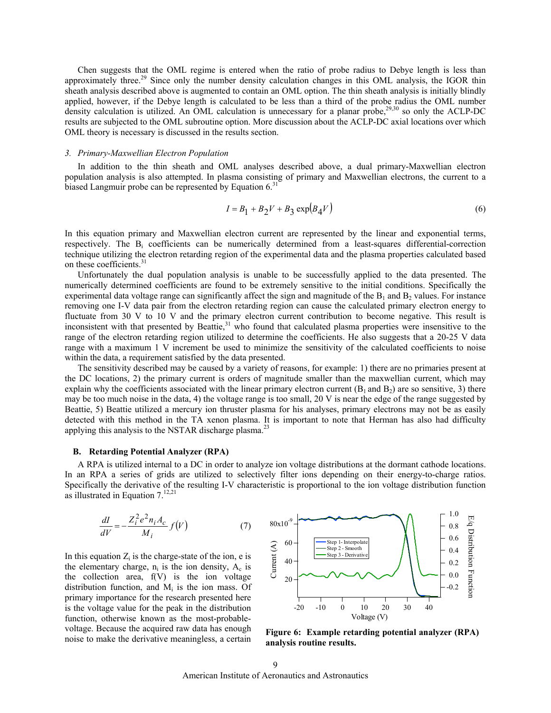Chen suggests that the OML regime is entered when the ratio of probe radius to Debye length is less than approximately three.<sup>29</sup> Since only the number density calculation changes in this OML analysis, the IGOR thin sheath analysis described above is augmented to contain an OML option. The thin sheath analysis is initially blindly applied, however, if the Debye length is calculated to be less than a third of the probe radius the OML number density calculation is utilized. An OML calculation is unnecessary for a planar probe,<sup>29,30</sup> so only the ACLP-DC results are subjected to the OML subroutine option. More discussion about the ACLP-DC axial locations over which OML theory is necessary is discussed in the results section.

#### *3. Primary-Maxwellian Electron Population*

In addition to the thin sheath and OML analyses described above, a dual primary-Maxwellian electron population analysis is also attempted. In plasma consisting of primary and Maxwellian electrons, the current to a biased Langmuir probe can be represented by Equation  $6<sup>31</sup>$ 

$$
I = B_1 + B_2 V + B_3 \exp(B_4 V) \tag{6}
$$

In this equation primary and Maxwellian electron current are represented by the linear and exponential terms, respectively. The  $B_i$  coefficients can be numerically determined from a least-squares differential-correction technique utilizing the electron retarding region of the experimental data and the plasma properties calculated based on these coefficients.<sup>31</sup>

Unfortunately the dual population analysis is unable to be successfully applied to the data presented. The numerically determined coefficients are found to be extremely sensitive to the initial conditions. Specifically the experimental data voltage range can significantly affect the sign and magnitude of the  $B_1$  and  $B_2$  values. For instance removing one I-V data pair from the electron retarding region can cause the calculated primary electron energy to fluctuate from 30 V to 10 V and the primary electron current contribution to become negative. This result is inconsistent with that presented by Beattie,<sup>31</sup> who found that calculated plasma properties were insensitive to the range of the electron retarding region utilized to determine the coefficients. He also suggests that a 20-25 V data range with a maximum 1 V increment be used to minimize the sensitivity of the calculated coefficients to noise within the data, a requirement satisfied by the data presented.

The sensitivity described may be caused by a variety of reasons, for example: 1) there are no primaries present at the DC locations, 2) the primary current is orders of magnitude smaller than the maxwellian current, which may explain why the coefficients associated with the linear primary electron current ( $B_1$  and  $B_2$ ) are so sensitive, 3) there may be too much noise in the data, 4) the voltage range is too small, 20 V is near the edge of the range suggested by Beattie, 5) Beattie utilized a mercury ion thruster plasma for his analyses, primary electrons may not be as easily detected with this method in the TA xenon plasma. It is important to note that Herman has also had difficulty applying this analysis to the NSTAR discharge plasma.<sup>23</sup>

#### **B. Retarding Potential Analyzer (RPA)**

A RPA is utilized internal to a DC in order to analyze ion voltage distributions at the dormant cathode locations. In an RPA a series of grids are utilized to selectively filter ions depending on their energy-to-charge ratios. Specifically the derivative of the resulting I-V characteristic is proportional to the ion voltage distribution function as illustrated in Equation  $7^{12,21}$ 

$$
\frac{dI}{dV} = -\frac{Z_i^2 e^2 n_i A_c}{M_i} f(V)
$$
 (7)

In this equation  $Z_i$  is the charge-state of the ion, e is the elementary charge,  $n_i$  is the ion density,  $A_c$  is the collection area,  $f(V)$  is the ion voltage distribution function, and  $M_i$  is the ion mass. Of primary importance for the research presented here is the voltage value for the peak in the distribution function, otherwise known as the most-probablevoltage. Because the acquired raw data has enough noise to make the derivative meaningless, a certain



**Figure 6: Example retarding potential analyzer (RPA) analysis routine results.**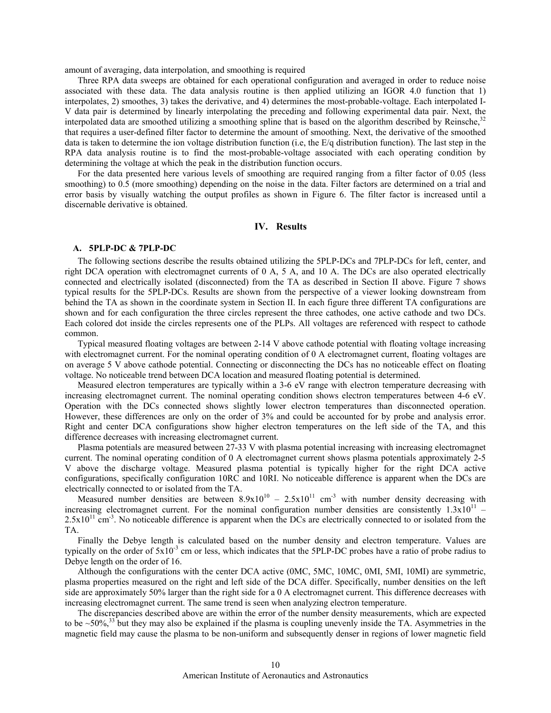amount of averaging, data interpolation, and smoothing is required

Three RPA data sweeps are obtained for each operational configuration and averaged in order to reduce noise associated with these data. The data analysis routine is then applied utilizing an IGOR 4.0 function that 1) interpolates, 2) smoothes, 3) takes the derivative, and 4) determines the most-probable-voltage. Each interpolated I-V data pair is determined by linearly interpolating the preceding and following experimental data pair. Next, the interpolated data are smoothed utilizing a smoothing spline that is based on the algorithm described by Reinsche, $32$ that requires a user-defined filter factor to determine the amount of smoothing. Next, the derivative of the smoothed data is taken to determine the ion voltage distribution function (i.e, the E/q distribution function). The last step in the RPA data analysis routine is to find the most-probable-voltage associated with each operating condition by determining the voltage at which the peak in the distribution function occurs.

For the data presented here various levels of smoothing are required ranging from a filter factor of 0.05 (less smoothing) to 0.5 (more smoothing) depending on the noise in the data. Filter factors are determined on a trial and error basis by visually watching the output profiles as shown in Figure 6. The filter factor is increased until a discernable derivative is obtained.

#### **IV. Results**

## **A. 5PLP-DC & 7PLP-DC**

The following sections describe the results obtained utilizing the 5PLP-DCs and 7PLP-DCs for left, center, and right DCA operation with electromagnet currents of 0 A, 5 A, and 10 A. The DCs are also operated electrically connected and electrically isolated (disconnected) from the TA as described in Section II above. Figure 7 shows typical results for the 5PLP-DCs. Results are shown from the perspective of a viewer looking downstream from behind the TA as shown in the coordinate system in Section II. In each figure three different TA configurations are shown and for each configuration the three circles represent the three cathodes, one active cathode and two DCs. Each colored dot inside the circles represents one of the PLPs. All voltages are referenced with respect to cathode common.

Typical measured floating voltages are between 2-14 V above cathode potential with floating voltage increasing with electromagnet current. For the nominal operating condition of 0 A electromagnet current, floating voltages are on average 5 V above cathode potential. Connecting or disconnecting the DCs has no noticeable effect on floating voltage. No noticeable trend between DCA location and measured floating potential is determined.

Measured electron temperatures are typically within a 3-6 eV range with electron temperature decreasing with increasing electromagnet current. The nominal operating condition shows electron temperatures between 4-6 eV. Operation with the DCs connected shows slightly lower electron temperatures than disconnected operation. However, these differences are only on the order of 3% and could be accounted for by probe and analysis error. Right and center DCA configurations show higher electron temperatures on the left side of the TA, and this difference decreases with increasing electromagnet current.

Plasma potentials are measured between 27-33 V with plasma potential increasing with increasing electromagnet current. The nominal operating condition of 0 A electromagnet current shows plasma potentials approximately 2-5 V above the discharge voltage. Measured plasma potential is typically higher for the right DCA active configurations, specifically configuration 10RC and 10RI. No noticeable difference is apparent when the DCs are electrically connected to or isolated from the TA.

Measured number densities are between  $8.9x10^{10} - 2.5x10^{11}$  cm<sup>-3</sup> with number density decreasing with increasing electromagnet current. For the nominal configuration number densities are consistently  $1.3x10^{11}$  –  $2.5x10^{11}$  cm<sup>-3</sup>. No noticeable difference is apparent when the DCs are electrically connected to or isolated from the TA.

Finally the Debye length is calculated based on the number density and electron temperature. Values are typically on the order of  $5x10^{-3}$  cm or less, which indicates that the 5PLP-DC probes have a ratio of probe radius to Debye length on the order of 16.

Although the configurations with the center DCA active (0MC, 5MC, 10MC, 0MI, 5MI, 10MI) are symmetric, plasma properties measured on the right and left side of the DCA differ. Specifically, number densities on the left side are approximately 50% larger than the right side for a 0 A electromagnet current. This difference decreases with increasing electromagnet current. The same trend is seen when analyzing electron temperature.

The discrepancies described above are within the error of the number density measurements, which are expected to be  $\sim$  50%,<sup>33</sup> but they may also be explained if the plasma is coupling unevenly inside the TA. Asymmetries in the magnetic field may cause the plasma to be non-uniform and subsequently denser in regions of lower magnetic field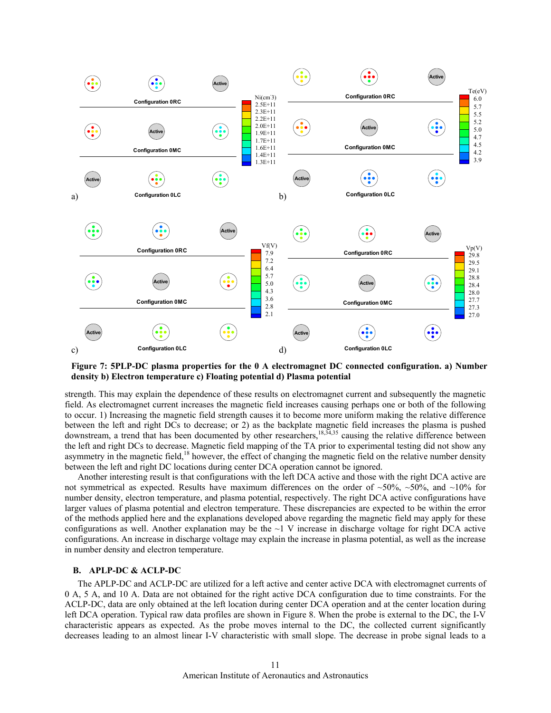

**Figure 7: 5PLP-DC plasma properties for the 0 A electromagnet DC connected configuration. a) Number density b) Electron temperature c) Floating potential d) Plasma potential** 

strength. This may explain the dependence of these results on electromagnet current and subsequently the magnetic field. As electromagnet current increases the magnetic field increases causing perhaps one or both of the following to occur. 1) Increasing the magnetic field strength causes it to become more uniform making the relative difference between the left and right DCs to decrease; or 2) as the backplate magnetic field increases the plasma is pushed downstream, a trend that has been documented by other researchers,<sup>18,34,35</sup> causing the relative difference between the left and right DCs to decrease. Magnetic field mapping of the TA prior to experimental testing did not show any asymmetry in the magnetic field,<sup>18</sup> however, the effect of changing the magnetic field on the relative number density between the left and right DC locations during center DCA operation cannot be ignored.

Another interesting result is that configurations with the left DCA active and those with the right DCA active are not symmetrical as expected. Results have maximum differences on the order of  $\sim 50\%$ ,  $\sim 50\%$ , and  $\sim 10\%$  for number density, electron temperature, and plasma potential, respectively. The right DCA active configurations have larger values of plasma potential and electron temperature. These discrepancies are expected to be within the error of the methods applied here and the explanations developed above regarding the magnetic field may apply for these configurations as well. Another explanation may be the  $\sim$ 1 V increase in discharge voltage for right DCA active configurations. An increase in discharge voltage may explain the increase in plasma potential, as well as the increase in number density and electron temperature.

#### **B. APLP-DC & ACLP-DC**

The APLP-DC and ACLP-DC are utilized for a left active and center active DCA with electromagnet currents of 0 A, 5 A, and 10 A. Data are not obtained for the right active DCA configuration due to time constraints. For the ACLP-DC, data are only obtained at the left location during center DCA operation and at the center location during left DCA operation. Typical raw data profiles are shown in Figure 8. When the probe is external to the DC, the I-V characteristic appears as expected. As the probe moves internal to the DC, the collected current significantly decreases leading to an almost linear I-V characteristic with small slope. The decrease in probe signal leads to a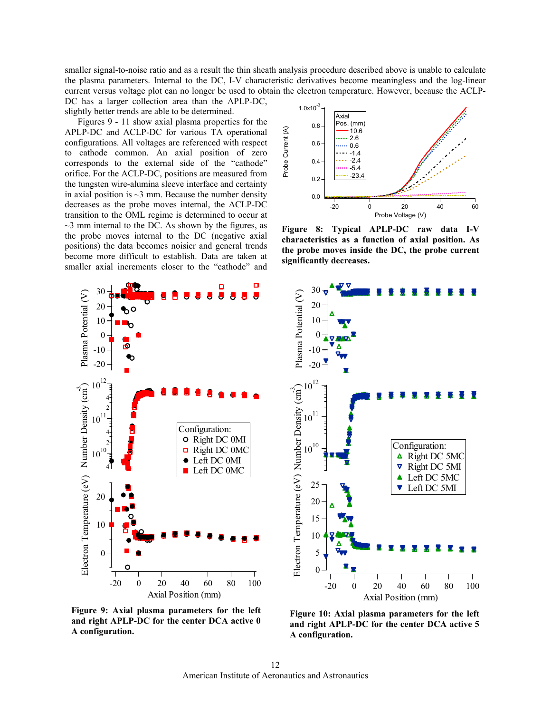smaller signal-to-noise ratio and as a result the thin sheath analysis procedure described above is unable to calculate the plasma parameters. Internal to the DC, I-V characteristic derivatives become meaningless and the log-linear current versus voltage plot can no longer be used to obtain the electron temperature. However, because the ACLP-DC has a larger collection area than the APLP-DC,

slightly better trends are able to be determined.

Figures 9 - 11 show axial plasma properties for the APLP-DC and ACLP-DC for various TA operational configurations. All voltages are referenced with respect to cathode common. An axial position of zero corresponds to the external side of the "cathode" orifice. For the ACLP-DC, positions are measured from the tungsten wire-alumina sleeve interface and certainty in axial position is  $\sim$ 3 mm. Because the number density decreases as the probe moves internal, the ACLP-DC transition to the OML regime is determined to occur at  $\sim$ 3 mm internal to the DC. As shown by the figures, as the probe moves internal to the DC (negative axial positions) the data becomes noisier and general trends become more difficult to establish. Data are taken at smaller axial increments closer to the "cathode" and





**Figure 8: Typical APLP-DC raw data I-V characteristics as a function of axial position. As the probe moves inside the DC, the probe current significantly decreases.**



**Figure 9: Axial plasma parameters for the left and right APLP-DC for the center DCA active 0 A configuration.** 

**Figure 10: Axial plasma parameters for the left and right APLP-DC for the center DCA active 5 A configuration.**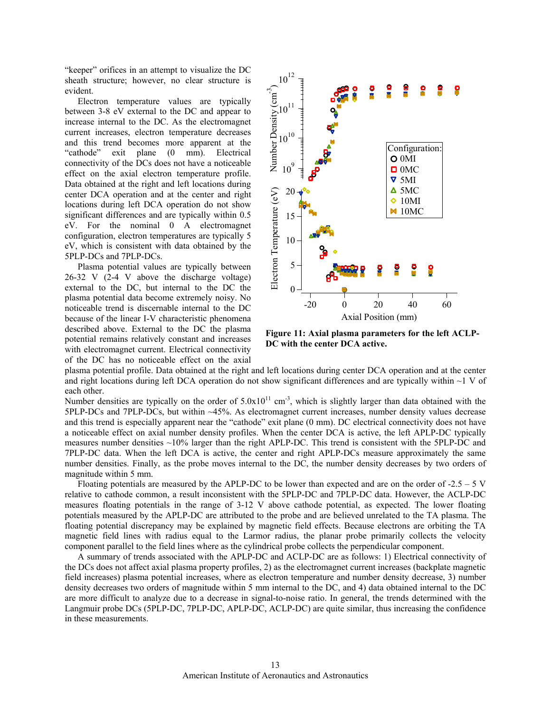"keeper" orifices in an attempt to visualize the DC sheath structure; however, no clear structure is evident.

Electron temperature values are typically between 3-8 eV external to the DC and appear to increase internal to the DC. As the electromagnet current increases, electron temperature decreases and this trend becomes more apparent at the "cathode" exit plane (0 mm). Electrical connectivity of the DCs does not have a noticeable effect on the axial electron temperature profile. Data obtained at the right and left locations during center DCA operation and at the center and right locations during left DCA operation do not show significant differences and are typically within 0.5 eV. For the nominal 0 A electromagnet configuration, electron temperatures are typically 5 eV, which is consistent with data obtained by the 5PLP-DCs and 7PLP-DCs.

Plasma potential values are typically between 26-32 V (2-4 V above the discharge voltage) external to the DC, but internal to the DC the plasma potential data become extremely noisy. No noticeable trend is discernable internal to the DC because of the linear I-V characteristic phenomena described above. External to the DC the plasma potential remains relatively constant and increases with electromagnet current. Electrical connectivity of the DC has no noticeable effect on the axial



**Figure 11: Axial plasma parameters for the left ACLP-DC with the center DCA active.** 

plasma potential profile. Data obtained at the right and left locations during center DCA operation and at the center and right locations during left DCA operation do not show significant differences and are typically within  $\sim$ 1 V of each other.

Number densities are typically on the order of  $5.0x10^{11}$  cm<sup>-3</sup>, which is slightly larger than data obtained with the 5PLP-DCs and 7PLP-DCs, but within ~45%. As electromagnet current increases, number density values decrease and this trend is especially apparent near the "cathode" exit plane (0 mm). DC electrical connectivity does not have a noticeable effect on axial number density profiles. When the center DCA is active, the left APLP-DC typically measures number densities ~10% larger than the right APLP-DC. This trend is consistent with the 5PLP-DC and 7PLP-DC data. When the left DCA is active, the center and right APLP-DCs measure approximately the same number densities. Finally, as the probe moves internal to the DC, the number density decreases by two orders of magnitude within 5 mm.

Floating potentials are measured by the APLP-DC to be lower than expected and are on the order of  $-2.5 - 5$  V relative to cathode common, a result inconsistent with the 5PLP-DC and 7PLP-DC data. However, the ACLP-DC measures floating potentials in the range of 3-12 V above cathode potential, as expected. The lower floating potentials measured by the APLP-DC are attributed to the probe and are believed unrelated to the TA plasma. The floating potential discrepancy may be explained by magnetic field effects. Because electrons are orbiting the TA magnetic field lines with radius equal to the Larmor radius, the planar probe primarily collects the velocity component parallel to the field lines where as the cylindrical probe collects the perpendicular component.

A summary of trends associated with the APLP-DC and ACLP-DC are as follows: 1) Electrical connectivity of the DCs does not affect axial plasma property profiles, 2) as the electromagnet current increases (backplate magnetic field increases) plasma potential increases, where as electron temperature and number density decrease, 3) number density decreases two orders of magnitude within 5 mm internal to the DC, and 4) data obtained internal to the DC are more difficult to analyze due to a decrease in signal-to-noise ratio. In general, the trends determined with the Langmuir probe DCs (5PLP-DC, 7PLP-DC, APLP-DC, ACLP-DC) are quite similar, thus increasing the confidence in these measurements.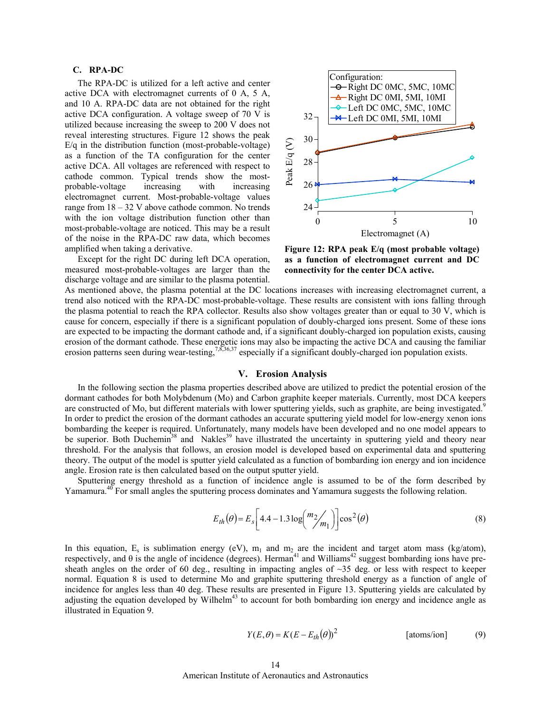# **C. RPA-DC**

The RPA-DC is utilized for a left active and center active DCA with electromagnet currents of 0 A, 5 A, and 10 A. RPA-DC data are not obtained for the right active DCA configuration. A voltage sweep of 70 V is utilized because increasing the sweep to 200 V does not reveal interesting structures. Figure 12 shows the peak E/q in the distribution function (most-probable-voltage) as a function of the TA configuration for the center active DCA. All voltages are referenced with respect to cathode common. Typical trends show the mostprobable-voltage increasing with increasing electromagnet current. Most-probable-voltage values range from 18 – 32 V above cathode common. No trends with the ion voltage distribution function other than most-probable-voltage are noticed. This may be a result of the noise in the RPA-DC raw data, which becomes amplified when taking a derivative.

Except for the right DC during left DCA operation, measured most-probable-voltages are larger than the discharge voltage and are similar to the plasma potential.



**Figure 12: RPA peak E/q (most probable voltage) as a function of electromagnet current and DC connectivity for the center DCA active.** 

As mentioned above, the plasma potential at the DC locations increases with increasing electromagnet current, a trend also noticed with the RPA-DC most-probable-voltage. These results are consistent with ions falling through the plasma potential to reach the RPA collector. Results also show voltages greater than or equal to 30 V, which is cause for concern, especially if there is a significant population of doubly-charged ions present. Some of these ions are expected to be impacting the dormant cathode and, if a significant doubly-charged ion population exists, causing erosion of the dormant cathode. These energetic ions may also be impacting the active DCA and causing the familiar erosion patterns seen during wear-testing,<sup>7,8,36,37</sup> especially if a significant doubly-charged ion population exists.

## **V. Erosion Analysis**

In the following section the plasma properties described above are utilized to predict the potential erosion of the dormant cathodes for both Molybdenum (Mo) and Carbon graphite keeper materials. Currently, most DCA keepers are constructed of Mo, but different materials with lower sputtering yields, such as graphite, are being investigated.<sup>9</sup> In order to predict the erosion of the dormant cathodes an accurate sputtering yield model for low-energy xenon ions bombarding the keeper is required. Unfortunately, many models have been developed and no one model appears to be superior. Both Duchemin<sup>38</sup> and Nakles<sup>39</sup> have illustrated the uncertainty in sputtering yield and theory near threshold. For the analysis that follows, an erosion model is developed based on experimental data and sputtering theory. The output of the model is sputter yield calculated as a function of bombarding ion energy and ion incidence angle. Erosion rate is then calculated based on the output sputter yield.

Sputtering energy threshold as a function of incidence angle is assumed to be of the form described by Yamamura.<sup>40</sup> For small angles the sputtering process dominates and Yamamura suggests the following relation.

$$
E_{th}(\theta) = E_s \left[ 4.4 - 1.3 \log \left( \frac{m_2}{m_1} \right) \right] \cos^2(\theta) \tag{8}
$$

In this equation, E<sub>s</sub> is sublimation energy (eV),  $m_1$  and  $m_2$  are the incident and target atom mass (kg/atom), respectively, and θ is the angle of incidence (degrees). Herman<sup>41</sup> and Williams<sup>42</sup> suggest bombarding ions have presheath angles on the order of 60 deg., resulting in impacting angles of  $\sim$ 35 deg. or less with respect to keeper normal. Equation 8 is used to determine Mo and graphite sputtering threshold energy as a function of angle of incidence for angles less than 40 deg. These results are presented in Figure 13. Sputtering yields are calculated by adjusting the equation developed by Wilhelm<sup>43</sup> to account for both bombarding ion energy and incidence angle as illustrated in Equation 9.

$$
Y(E, \theta) = K(E - E_{th}(\theta))^2
$$
 [atoms/ion] (9)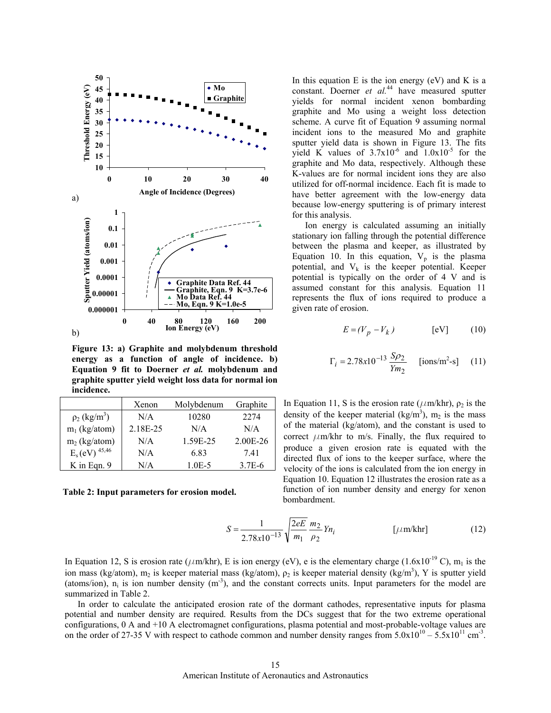

**Figure 13: a) Graphite and molybdenum threshold energy as a function of angle of incidence. b) Equation 9 fit to Doerner** *et al.* **molybdenum and graphite sputter yield weight loss data for normal ion incidence.** 

|                               | Xenon    | Molybdenum | Graphite |  |
|-------------------------------|----------|------------|----------|--|
| $\rho_2$ (kg/m <sup>3</sup> ) | N/A      | 10280      | 2274     |  |
| $m_1$ (kg/atom)               | 2.18E-25 | N/A        | N/A      |  |
| $m_2$ (kg/atom)               | N/A      | 1.59E-25   | 2.00E-26 |  |
| $E_s$ (eV) $45,46$            | N/A      | 6.83       | 741      |  |
| K in Eqn. 9                   | N/A      | 1.0E-5     | $3.7E-6$ |  |

**Table 2: Input parameters for erosion model.** 

In this equation  $E$  is the ion energy (eV) and  $K$  is a constant. Doerner *et al.*<sup>44</sup> have measured sputter yields for normal incident xenon bombarding graphite and Mo using a weight loss detection scheme. A curve fit of Equation 9 assuming normal incident ions to the measured Mo and graphite sputter yield data is shown in Figure 13. The fits yield K values of  $3.7 \times 10^{-6}$  and  $1.0 \times 10^{-5}$  for the graphite and Mo data, respectively. Although these K-values are for normal incident ions they are also utilized for off-normal incidence. Each fit is made to have better agreement with the low-energy data because low-energy sputtering is of primary interest for this analysis.

Ion energy is calculated assuming an initially stationary ion falling through the potential difference between the plasma and keeper, as illustrated by Equation 10. In this equation,  $V_p$  is the plasma potential, and  $V_k$  is the keeper potential. Keeper potential is typically on the order of 4 V and is assumed constant for this analysis. Equation 11 represents the flux of ions required to produce a given rate of erosion.

$$
E = (V_p - V_k) \qquad \qquad [eV] \qquad (10)
$$

$$
\Gamma_i = 2.78 \times 10^{-13} \frac{S \rho_2}{Y m_2} \quad \text{[ions/m}^2 - \text{s]} \quad (11)
$$

In Equation 11, S is the erosion rate ( $\mu$ m/khr),  $\rho_2$  is the density of the keeper material (kg/m<sup>3</sup>), m<sub>2</sub> is the mass of the material (kg/atom), and the constant is used to correct  $\mu$ m/khr to m/s. Finally, the flux required to produce a given erosion rate is equated with the directed flux of ions to the keeper surface, where the velocity of the ions is calculated from the ion energy in Equation 10. Equation 12 illustrates the erosion rate as a function of ion number density and energy for xenon bombardment.

$$
S = \frac{1}{2.78 \times 10^{-13}} \sqrt{\frac{2eE}{m_1}} \frac{m_2}{\rho_2} Y n_i
$$
 [\mu m/khr] (12)

In Equation 12, S is erosion rate ( $\mu$ m/khr), E is ion energy (eV), e is the elementary charge (1.6x10<sup>-19</sup> C), m<sub>1</sub> is the ion mass (kg/atom), m<sub>2</sub> is keeper material mass (kg/atom),  $\rho_2$  is keeper material density (kg/m<sup>3</sup>), Y is sputter yield (atoms/ion),  $n_i$  is ion number density  $(m<sup>-3</sup>)$ , and the constant corrects units. Input parameters for the model are summarized in Table 2.

 In order to calculate the anticipated erosion rate of the dormant cathodes, representative inputs for plasma potential and number density are required. Results from the DCs suggest that for the two extreme operational configurations, 0 A and +10 A electromagnet configurations, plasma potential and most-probable-voltage values are on the order of 27-35 V with respect to cathode common and number density ranges from  $5.0x10^{10} - 5.5x10^{11}$  cm<sup>-3</sup>.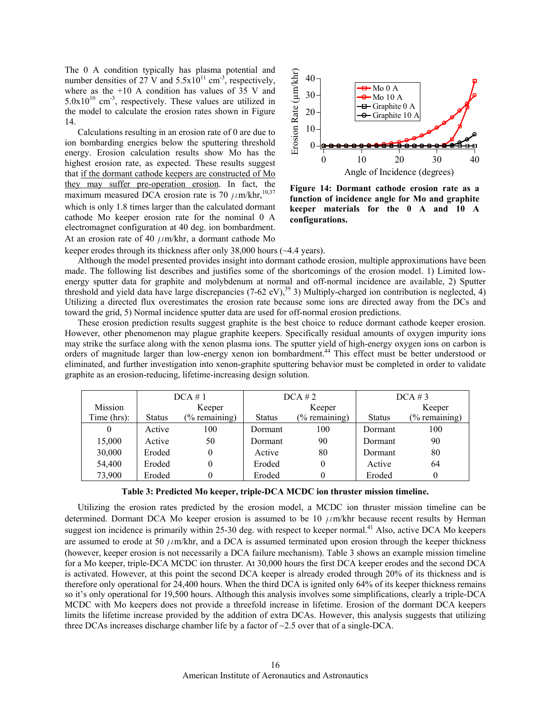The 0 A condition typically has plasma potential and number densities of  $27 \text{ V}$  and  $5.5 \times 10^{11} \text{ cm}^3$ , respectively, where as the  $+10$  A condition has values of  $\frac{1}{35}$  V and  $5.0x10^{10}$  cm<sup>-3</sup>, respectively. These values are utilized in the model to calculate the erosion rates shown in Figure 14.

Calculations resulting in an erosion rate of 0 are due to ion bombarding energies below the sputtering threshold energy. Erosion calculation results show Mo has the highest erosion rate, as expected. These results suggest that if the dormant cathode keepers are constructed of Mo they may suffer pre-operation erosion. In fact, the maximum measured DCA erosion rate is 70  $\mu$ m/khr,<sup>10,37</sup> which is only 1.8 times larger than the calculated dormant cathode Mo keeper erosion rate for the nominal 0 A electromagnet configuration at 40 deg. ion bombardment. At an erosion rate of 40  $\mu$ m/khr, a dormant cathode Mo



**Figure 14: Dormant cathode erosion rate as a function of incidence angle for Mo and graphite keeper materials for the 0 A and 10 A configurations.** 

keeper erodes through its thickness after only 38,000 hours (~4.4 years).

Although the model presented provides insight into dormant cathode erosion, multiple approximations have been made. The following list describes and justifies some of the shortcomings of the erosion model. 1) Limited lowenergy sputter data for graphite and molybdenum at normal and off-normal incidence are available, 2) Sputter threshold and yield data have large discrepancies  $(7-62 \text{ eV})$ ,<sup>39</sup> 3) Multiply-charged ion contribution is neglected, 4) Utilizing a directed flux overestimates the erosion rate because some ions are directed away from the DCs and toward the grid, 5) Normal incidence sputter data are used for off-normal erosion predictions.

These erosion prediction results suggest graphite is the best choice to reduce dormant cathode keeper erosion. However, other phenomenon may plague graphite keepers. Specifically residual amounts of oxygen impurity ions may strike the surface along with the xenon plasma ions. The sputter yield of high-energy oxygen ions on carbon is orders of magnitude larger than low-energy xenon ion bombardment.<sup>44</sup> This effect must be better understood or eliminated, and further investigation into xenon-graphite sputtering behavior must be completed in order to validate graphite as an erosion-reducing, lifetime-increasing design solution.

|                |               | $DCA \# 1$     | $DCA \# 2$    |                  | $DCA \# 3$    |                  |
|----------------|---------------|----------------|---------------|------------------|---------------|------------------|
| Mission        |               | Keeper         |               | Keeper           |               | Keeper           |
| Time $(hrs)$ : | <b>Status</b> | $%$ remaining) | <b>Status</b> | $(\%$ remaining) | <b>Status</b> | $(\%$ remaining) |
| 0              | Active        | 100            | Dormant       | 100              | Dormant       | 100              |
| 15,000         | Active        | 50             | Dormant       | 90               | Dormant       | 90               |
| 30,000         | Eroded        |                | Active        | 80               | Dormant       | 80               |
| 54,400         | Eroded        |                | Eroded        |                  | Active        | 64               |
| 73,900         | Eroded        |                | Eroded        |                  | Eroded        | 0                |

**Table 3: Predicted Mo keeper, triple-DCA MCDC ion thruster mission timeline.** 

Utilizing the erosion rates predicted by the erosion model, a MCDC ion thruster mission timeline can be determined. Dormant DCA Mo keeper erosion is assumed to be 10  $\mu$ m/khr because recent results by Herman suggest ion incidence is primarily within 25-30 deg. with respect to keeper normal.<sup>41</sup> Also, active DCA Mo keepers are assumed to erode at 50  $\mu$ m/khr, and a DCA is assumed terminated upon erosion through the keeper thickness (however, keeper erosion is not necessarily a DCA failure mechanism). Table 3 shows an example mission timeline for a Mo keeper, triple-DCA MCDC ion thruster. At 30,000 hours the first DCA keeper erodes and the second DCA is activated. However, at this point the second DCA keeper is already eroded through 20% of its thickness and is therefore only operational for 24,400 hours. When the third DCA is ignited only 64% of its keeper thickness remains so it's only operational for 19,500 hours. Although this analysis involves some simplifications, clearly a triple-DCA MCDC with Mo keepers does not provide a threefold increase in lifetime. Erosion of the dormant DCA keepers limits the lifetime increase provided by the addition of extra DCAs. However, this analysis suggests that utilizing three DCAs increases discharge chamber life by a factor of  $\sim$ 2.5 over that of a single-DCA.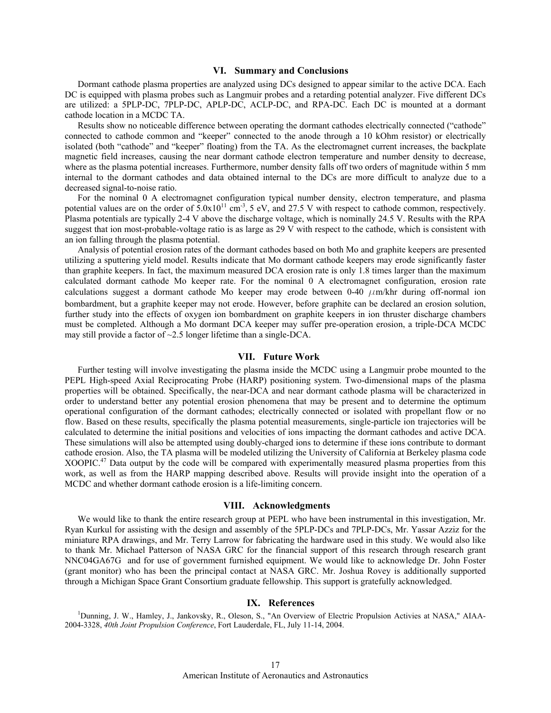#### **VI. Summary and Conclusions**

Dormant cathode plasma properties are analyzed using DCs designed to appear similar to the active DCA. Each DC is equipped with plasma probes such as Langmuir probes and a retarding potential analyzer. Five different DCs are utilized: a 5PLP-DC, 7PLP-DC, APLP-DC, ACLP-DC, and RPA-DC. Each DC is mounted at a dormant cathode location in a MCDC TA.

Results show no noticeable difference between operating the dormant cathodes electrically connected ("cathode" connected to cathode common and "keeper" connected to the anode through a 10 kOhm resistor) or electrically isolated (both "cathode" and "keeper" floating) from the TA. As the electromagnet current increases, the backplate magnetic field increases, causing the near dormant cathode electron temperature and number density to decrease, where as the plasma potential increases. Furthermore, number density falls off two orders of magnitude within 5 mm internal to the dormant cathodes and data obtained internal to the DCs are more difficult to analyze due to a decreased signal-to-noise ratio.

For the nominal 0 A electromagnet configuration typical number density, electron temperature, and plasma potential values are on the order of  $5.0x10^{11}$  cm<sup>-3</sup>, 5 eV, and 27.5 V with respect to cathode common, respectively. Plasma potentials are typically 2-4 V above the discharge voltage, which is nominally 24.5 V. Results with the RPA suggest that ion most-probable-voltage ratio is as large as 29 V with respect to the cathode, which is consistent with an ion falling through the plasma potential.

Analysis of potential erosion rates of the dormant cathodes based on both Mo and graphite keepers are presented utilizing a sputtering yield model. Results indicate that Mo dormant cathode keepers may erode significantly faster than graphite keepers. In fact, the maximum measured DCA erosion rate is only 1.8 times larger than the maximum calculated dormant cathode Mo keeper rate. For the nominal 0 A electromagnet configuration, erosion rate calculations suggest a dormant cathode Mo keeper may erode between  $0-40 \mu m/k$ hr during off-normal ion bombardment, but a graphite keeper may not erode. However, before graphite can be declared an erosion solution, further study into the effects of oxygen ion bombardment on graphite keepers in ion thruster discharge chambers must be completed. Although a Mo dormant DCA keeper may suffer pre-operation erosion, a triple-DCA MCDC may still provide a factor of ~2.5 longer lifetime than a single-DCA.

## **VII. Future Work**

Further testing will involve investigating the plasma inside the MCDC using a Langmuir probe mounted to the PEPL High-speed Axial Reciprocating Probe (HARP) positioning system. Two-dimensional maps of the plasma properties will be obtained. Specifically, the near-DCA and near dormant cathode plasma will be characterized in order to understand better any potential erosion phenomena that may be present and to determine the optimum operational configuration of the dormant cathodes; electrically connected or isolated with propellant flow or no flow. Based on these results, specifically the plasma potential measurements, single-particle ion trajectories will be calculated to determine the initial positions and velocities of ions impacting the dormant cathodes and active DCA. These simulations will also be attempted using doubly-charged ions to determine if these ions contribute to dormant cathode erosion. Also, the TA plasma will be modeled utilizing the University of California at Berkeley plasma code XOOPIC.<sup>47</sup> Data output by the code will be compared with experimentally measured plasma properties from this work, as well as from the HARP mapping described above. Results will provide insight into the operation of a MCDC and whether dormant cathode erosion is a life-limiting concern.

## **VIII. Acknowledgments**

We would like to thank the entire research group at PEPL who have been instrumental in this investigation, Mr. Ryan Kurkul for assisting with the design and assembly of the 5PLP-DCs and 7PLP-DCs, Mr. Yassar Azziz for the miniature RPA drawings, and Mr. Terry Larrow for fabricating the hardware used in this study. We would also like to thank Mr. Michael Patterson of NASA GRC for the financial support of this research through research grant NNC04GA67G and for use of government furnished equipment. We would like to acknowledge Dr. John Foster (grant monitor) who has been the principal contact at NASA GRC. Mr. Joshua Rovey is additionally supported through a Michigan Space Grant Consortium graduate fellowship. This support is gratefully acknowledged.

# **IX. References**

<sup>1</sup>Dunning, J. W., Hamley, J., Jankovsky, R., Oleson, S., "An Overview of Electric Propulsion Activies at NASA," AIAA-2004-3328, *40th Joint Propulsion Conference*, Fort Lauderdale, FL, July 11-14, 2004.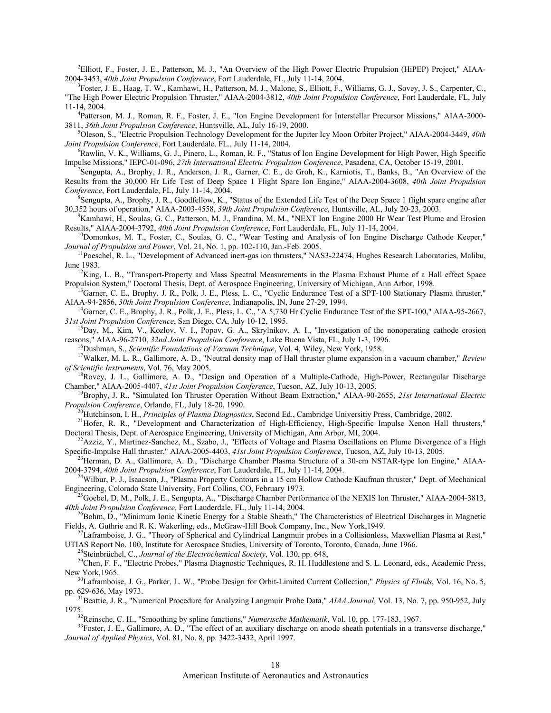2 Elliott, F., Foster, J. E., Patterson, M. J., "An Overview of the High Power Electric Propulsion (HiPEP) Project," AIAA-2004-3453, *40th Joint Propulsion Conference*, Fort Lauderdale, FL, July 11-14, 2004. 3

Foster, J. E., Haag, T. W., Kamhawi, H., Patterson, M. J., Malone, S., Elliott, F., Williams, G. J., Sovey, J. S., Carpenter, C., "The High Power Electric Propulsion Thruster," AIAA-2004-3812, *40th Joint Propulsion Conference*, Fort Lauderdale, FL, July 11-14, 2004. 4

Patterson, M. J., Roman, R. F., Foster, J. E., "Ion Engine Development for Interstellar Precursor Missions," AIAA-2000- 3811, *36th Joint Propulsion Conference*, Huntsville, AL, July 16-19, 2000. 5

Oleson, S., "Electric Propulsion Technology Development for the Jupiter Icy Moon Orbiter Project," AIAA-2004-3449, *40th Joint Propulsion Conference*, Fort Lauderdale, FL., July 11-14, 2004.

Rawlin, V. K., Williams, G. J., Pinero, L., Roman, R. F., "Status of Ion Engine Development for High Power, High Specific Impulse Missions," IEPC-01-096, *27th International Electric Propulsion Conference*, Pasadena, CA, October 15-19, 2001. 7

Sengupta, A., Brophy, J. R., Anderson, J. R., Garner, C. E., de Groh, K., Karniotis, T., Banks, B., "An Overview of the Results from the 30,000 Hr Life Test of Deep Space 1 Flight Spare Ion Engine," AIAA-2004-3608, *40th Joint Propulsion* 

Conference, Fort Lauderdale, FL, July 11-14, 2004.<br><sup>8</sup>Sengupta, A., Brophy, J. R., Goodfellow, K., "Status of the Extended Life Test of the Deep Space 1 flight spare engine after 30,352 hours of operation," AIAA-2003-4558, *39th Joint Propulsion Conference*, Huntsville, AL, July 20-23, 2003. 9

<sup>9</sup> Kamhawi, H., Soulas, G. C., Patterson, M. J., Frandina, M. M., "NEXT Ion Engine 2000 Hr Wear Test Plume and Erosion Results," AIAA-2004-3792, 40th Joint Propulsion Conference, Fort Lauderdale, FL, July 11-14, 2004.

<sup>10</sup>Domonkos, M. T., Foster, C., Soulas, G. C., "Wear Testing and Analysis of Ion Engine Discharge Cathode Keeper,"<br>Journal of Propulsion and Power, Vol. 21, No. 1, pp. 102-110, Jan.-Feb. 2005.

<sup>11</sup> Poeschel, R. L., "Development of Advanced inert-gas ion thrusters," NAS3-22474, Hughes Research Laboratories, Malibu,

June 1983.<br><sup>12</sup>King, L. B., "Transport-Property and Mass Spectral Measurements in the Plasma Exhaust Plume of a Hall effect Space<br>Propulsion System," Doctoral Thesis, Dept. of Aerospace Engineering, University of Michigan,

<sup>13</sup>Garner, C. E., Brophy, J. R., Polk, J. E., Pless, L. C., "Cyclic Endurance Test of a SPT-100 Stationary Plasma thruster,"<br>AIAA-94-2856, 30th Joint Propulsion Conference, Indianapolis, IN, June 27-29, 1994.

<sup>14</sup>Garner, C. E., Brophy, J. R., Polk, J. E., Pless, L. C., <sup>"</sup>A 5,730 Hr Cyclic Endurance Test of the SPT-100," AIAA-95-2667, 31st Joint Propulsion Conference. San Diego, CA, July 10-12, 1995.

<sup>15</sup>Day, M., Kim, V., Kozlov, V. I., Popov, G. A., Skrylnikov, A. I., "Investigation of the nonoperating cathode erosion reasons," AIAA-96-2710, 32nd Joint Propulsion Conference, Lake Buena Vista, FL, July 1-3, 1996.<br><sup>16</sup>Dushman, S., *Scientific Foundations of Vacuum Technique*, Vol. 4, Wiley, New York, 1958.<br><sup>17</sup>Walker, M. L. R., Gallimore,

*of Scientific Instruments*, Vol. 76, May 2005.<br><sup>18</sup>Rovey, J. L., Gallimore, A. D., "Design and Operation of a Multiple-Cathode, High-Power, Rectangular Discharge<br>Chamber," AIAA-2005-4407, 41st Joint Propulsion Conference,

<sup>9</sup>Brophy, J. R., "Simulated Ion Thruster Operation Without Beam Extraction," AIAA-90-2655, 21st International Electric Propulsion Conference, Orlando, FL, July 18-20, 1990.<br><sup>20</sup>Hutchinson, I. H., *Principles of Plasma Diagnostics*, Second Ed., Cambridge Universitiy Press, Cambridge, 2002.<br><sup>21</sup>Hofer, R. R., "Development and Characterization

Doctoral Thesis, Dept. of Aerospace Engineering, University of Michigan, Ann Arbor, MI, 2004. <sup>22</sup>Azziz, Y., Martinez-Sanchez, M., Szabo, J., "Effects of Voltage and Plasma Oscillations on Plume Divergence of a High

Specific-Impulse Hall thruster," AIAA-2005-4403, 41st Joint Propulsion Conference, Tucson, AZ, July 10-13, 2005.<br><sup>23</sup>Herman, D. A., Gallimore, A. D., "Discharge Chamber Plasma Structure of a 30-cm NSTAR-type Ion Engine," A

2004-3794, *40th Joint Propulsion Conference*, Fort Lauderdale, FL, July 11-14, 2004.<br><sup>24</sup>Wilbur, P. J., Isaacson, J., "Plasma Property Contours in a 15 cm Hollow Cathode Kaufman thruster," Dept. of Mechanical<br>Engineering,

<sup>25</sup>Goebel, D. M., Polk, J. E., Sengupta, A., "Discharge Chamber Performance of the NEXIS Ion Thruster," AIAA-2004-3813,

*40th Joint Propulsion Conference*, Fort Lauderdale, FL, July 11-14, 2004.<br><sup>26</sup>Bohm, D., "Minimum Ionic Kinetic Energy for a Stable Sheath," The Characteristics of Electrical Discharges in Magnetic Fields, A. Guthrie and R

<sup>27</sup> Laframboise, J. G., "Theory of Spherical and Cylindrical Langmuir probes in a Collisionless, Maxwellian Plasma at Rest," UTIAS Report No. 100, Institute for Aerospace Studies, University of Toronto, Toronto, Canada,

<sup>28</sup>Steinbrüchel, C., Journal of the Electrochemical Society, Vol. 130, pp. 648,<br><sup>29</sup>Chen, F. F., "Electric Probes," Plasma Diagnostic Techniques, R. H. Huddlestone and S. L. Leonard, eds., Academic Press,

New York,1965.<br><sup>30</sup>Laframboise, J. G., Parker, L. W., "Probe Design for Orbit-Limited Current Collection," *Physics of Fluids*, Vol. 16, No. 5, pp. 629-636, May 1973.

<sup>31</sup>Beattie, J. R., "Numerical Procedure for Analyzing Langmuir Probe Data," *AIAA Journal*, Vol. 13, No. 7, pp. 950-952, July <sup>32</sup>Reinsche, C. H., "Smoothing by spline functions," *Numerische Mathematik*, Vol. 10, pp. 177-183, 1967.<br><sup>32</sup>Foster, J. E., Gallimore, A. D., "The effect of an auxiliary discharge on anode sheath potentials in a transver

*Journal of Applied Physics*, Vol. 81, No. 8, pp. 3422-3432, April 1997.